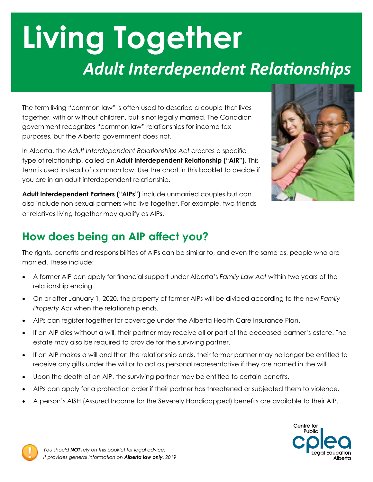# **Living Together** *Adult Interdependent Relationships*

The term living "common law" is often used to describe a couple that lives together, with or without children, but is not legally married. The Canadian government recognizes "common law" relationships for income tax purposes, but the Alberta government does not.

In Alberta, the *Adult Interdependent Relationships Act* creates a specific type of relationship, called an **Adult Interdependent Relationship ("AIR")**. This term is used instead of common law. Use the chart in this booklet to decide if you are in an adult interdependent relationship.





## **How does being an AIP affect you?**

The rights, benefits and responsibilities of AIPs can be similar to, and even the same as, people who are married. These include:

- • A former AIP can apply for financial support under Alberta's *Family Law Act* within two years of the relationship ending.
- • On or after January 1, 2020, the property of former AIPs will be divided according to the new *Family Property Act* when the relationship ends.
- AIPs can register together for coverage under the Alberta Health Care Insurance Plan.
- • If an AIP dies without a will, their partner may receive all or part of the deceased partner's estate. The estate may also be required to provide for the surviving partner.
- If an AIP makes a will and then the relationship ends, their former partner may no longer be entitled to receive any gifts under the will or to act as personal representative if they are named in the will.
- Upon the death of an AIP, the surviving partner may be entitled to certain benefits.
- AIPs can apply for a protection order if their partner has threatened or subjected them to violence.
- A person's AISH (Assured Income for the Severely Handicapped) benefits are available to their AIP.



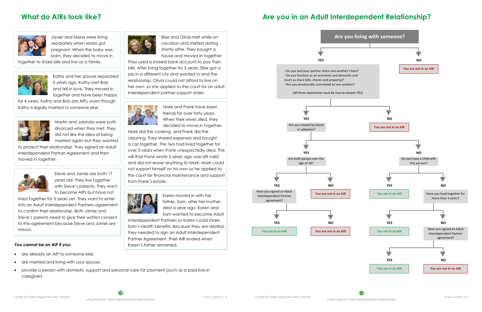## **What do AIRs look like?**



Javier and Maria were living separately when Maria got pregnant. When the baby was born, they decided to move in

together to share bills and live as a family.



Elise and Olivia met while on vacation and started dating shortly after. They bought a house and moved in together.

for 4 years. Kathy and Bob are AIPs, even though Kathy is legally married to someone else. Mark And Frank have been marked to someone else.



They used a shared bank account to pay their bills. After living together for 5 years, Elise got a job in a different city and wanted to end the relationship. Olivia could not afford to live on her own, so she applied to the court for an adult interdependent partner support order.



Kathy and her spouse separated 5 years ago. Kathy met Bob and fell in love. They moved in together and have been happy

> friends for over forty years. When their wives died, they decided to move in together.

Mark did the cooking, and Frank did the cleaning. They shared expenses and bought a car together. The two had lived together for over 3 years when Frank unexpectedly died. The will that Frank wrote 5 years ago was still valid and did not leave anything to Mark. Mark could not support himself on his own so he applied to the court for financial maintenance and support from Frank's estate.



Karen moved in with her father, Sam, after her mother died a year ago. Karen and Sam wanted to become Adult

Interdependent Partners so Karen could share Sam's health benefits. Because they are related, they needed to sign an Adult Interdependent Partner Agreement. Their AIR ended when Karen's father remarried.

- are already an AIP to someone else;
- are married and living with your spouse;
- provide a person with domestic support and personal care for payment (such as a paid live-in caregiver).

Martin and Jolanda were both divorced when they met. They did not like the idea of being married again but they wanted

to protect their relationship. They signed an Adult Interdependent Partner Agreement and then moved in together.



Steve and Jamie are both 17 years old. They live together with Steve's parents. They want to become AIPs but have not

lived together for 3 years yet. They want to enter into an Adult Interdependent Partners agreement to confirm their relationship. Both Jamie and Steve's parents need to give their written consent to the agreement because Steve and Jamie are minors.

## **Are you in an Adult Interdependent Relationship?**



### **You cannot be an AIP if you:**